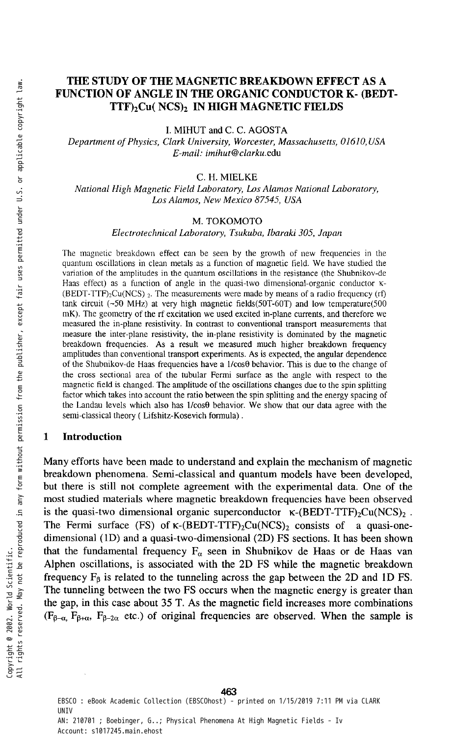# THE STUDY OF THE MAGNETIC BREAKDOWN EFFECT AS A FUNCTION OF ANGLE IN THE ORGANIC CONDUCTOR K- (BEDT-TTF)<sub>2</sub>Cu( NCS)<sub>2</sub> IN HIGH MAGNETIC FIELDS

**I. MIHUT and C. C. AGOSTA** 

*Department of Physics, Clark University, Worcester, Massachusetts, 01610, USA E-mail: [imihut@clarku.edu](mailto:imihut@clarku.edu)* 

#### C. **H. MIELKE**

*National High Magnetic Field Laboratory, Los Alamos National Laboratory, Los Alamos, New Mexico 87545, USA* 

#### **M. TOKOMOTO**

*Electrotechnical Laboratory, Tsukuba, lbaraki 305, Japan* 

The magnetic breakdown effect can be seen by the growth of new frequencies in the quantum oscillations in clean metals as a function of magnetic field. We have studied the variation of the amplitudes in the quantum oscillations in the resistance (the Shubnikov-de Haas effect) as a function of angle in the quasi-two dimensional-organic conductor K- $(BEDT-TTF)_{2}Cu(NCS)$  2. The measurements were made by means of a radio frequency (rf) tank circuit (~50 MHz) at very high magnetic fields(50T-60T) and low temperature(500 mK). The geometry of the rf excitation we used excited in-plane currents, and therefore we measured the in-plane resistivity. In contrast to conventional transport measurements that measure the inter-plane resistivity, the in-plane resistivity is dominated by the magnetic breakdown frequencies. As a result we measured much higher breakdown frequency amplitudes than conventional transport experiments. As is expected, the angular dependence of the Shubnikov-de Haas frequencies have a l/cos8 behavior. This is due to the change of the cross sectional area of the tubular Fermi surface as the angle with respect to the magnetic field is changed. The amplitude of the oscillations changes due to the spin splitting factor which takes into account the ratio between the spin splitting and the energy spacing of the Landau levels which also has l/cos9 behavior. We show that our data agree with the semi-classical theory ( Lifshitz-Kosevich formula).

#### **1 Introduction**

**Many efforts have been made to understand and explain the mechanism of magnetic breakdown phenomena. Semi-classical and quantum models have been developed, but there is still not complete agreement with the experimental data. One of the most studied materials where magnetic breakdown frequencies have been observed**  is the quasi-two dimensional organic superconductor  $\kappa$ -(BEDT-TTF)<sub>2</sub>Cu(NCS)<sub>2</sub>. **The Fermi surface (FS) of K-(BEDT-TTF)2Cu(NCS)2 consists of a quasi-onedimensional (ID) and a quasi-two-dimensional (2D) FS sections. It has been shown**  that the fundamental frequency  $F_a$  seen in Shubnikov de Haas or de Haas van **Alphen oscillations, is associated with the 2D FS while the magnetic breakdown**  frequency  $F_B$  is related to the tunneling across the gap between the 2D and 1D FS. **The tunneling between the two FS occurs when the magnetic energy is greater than the gap, in this case about 35 T. As the magnetic field increases more combinations**   $(F_{\beta-\alpha}, F_{\beta-\alpha}, F_{\beta-2\alpha}$  etc.) of original frequencies are observed. When the sample is

EBSCO : eBook Academic Collection (EBSCOhost) - printed on 1/15/2019 7:11 PM via CLARK **UNTV** AN: 210701 ; Boebinger, G..; Physical Phenomena At High Magnetic Fields - Iv Account: s1017245.main.ehost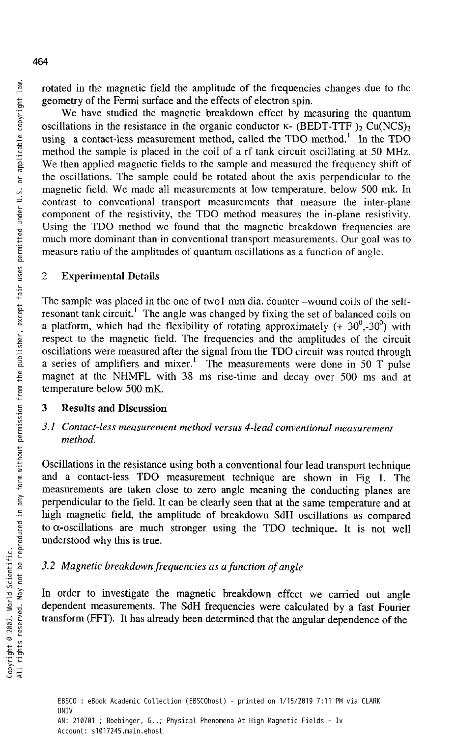rotated in the magnetic field the amplitude of the frequencies changes due to the geometry of the Fermi surface and the effects of electron spin.

We have studied the magnetic breakdown effect by measuring the quantum oscillations in the resistance in the organic conductor  $K$ - (BEDT-TTF )<sub>2</sub> Cu(NCS)<sub>2</sub> using a contact-less measurement method, called the TDO method.<sup>1</sup> In the TDO method the sample is placed in the coil of a rf tank circuit oscillating at 50 MHz. We then applied magnetic fields to the sample and measured the frequency shift of the oscillations. The sample could be rotated about the axis perpendicular to the magnetic field. We made all measurements at low temperature, below 500 mk. In contrast to conventional transport measurements that measure the inter-plane component of the resistivity, the TDO method measures the in-plane resistivity. Using the TDO method we found that the magnetic breakdown frequencies are much more dominant than in conventional transport measurements. Our goal was to measure ratio of the amplitudes of quantum oscillations as a function of angle.

# 2 Experimental Details

The sample was placed in the one of two1 mm dia. counter -wound coils of the selfresonant tank circuit.<sup>1</sup> The angle was changed by fixing the set of balanced coils on a platform, which had the flexibility of rotating approximately  $(+30^0, -30^0)$  with respect to the magnetic field. The frequencies and the amplitudes of the circuit oscillations were measured after the signal from the TDO circuit was routed through a series of amplifiers and mixer.<sup>1</sup> The measurements were done in 50 T pulse magnet at the NHMFL with 38 ms rise-time and decay over 500 ms and at temperature below 500 mK.

# **3 Results and Discussion**

# *3.1 Contact-less measurement method versus 4-lead conventional measurement method.*

Oscillations in the resistance using both a conventional four lead transport technique and a contact-less TDO measurement technique are shown in Fig 1. The measurements are taken close to zero angle meaning the conducting planes are perpendicular to the field. It can be clearly seen that at the same temperature and at high magnetic field, the amplitude of breakdown SdH oscillations as compared to  $\alpha$ -oscillations are much stronger using the TDO technique. It is not well understood why this is true.

# *3.2 Magnetic breakdown frequencies as a function of angle*

In order to investigate the magnetic breakdown effect we carried out angle dependent measurements. The SdH frequencies were calculated by a fast Fourier transform (FFT). It has already been determined that the angular dependence of the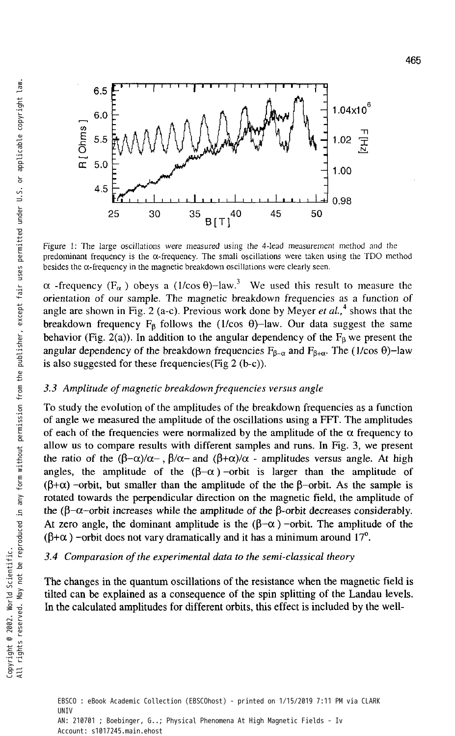

Figure 1: The large oscillations were measured using the 4-lead measurement method and the predominant frequency is the a-frequency. The small oscillations were taken using the TDO method besides the  $\alpha$ -frequency in the magnetic breakdown oscillations were clearly seen.

 $\alpha$  -frequency (F<sub> $\alpha$ </sub>) obeys a (1/cos  $\theta$ )-law.<sup>3</sup> We used this result to measure the orientation of our sample. The magnetic breakdown frequencies as a function of angle are shown in Fig. 2 (a-c). Previous work done by Meyer et al.,<sup>4</sup> shows that the breakdown frequency  $F_\beta$  follows the (1/cos  $\theta$ )-law. Our data suggest the same behavior (Fig. 2(a)). In addition to the angular dependency of the  $F_8$  we present the angular dependency of the breakdown frequencies  $F_{\beta-\alpha}$  and  $F_{\beta+\alpha}$ . The (1/cos  $\theta$ )-law is also suggested for these frequencies(Fig 2 (b-c)).

#### *3.3 Amplitude of magnetic breakdown frequencies versus angle*

To study the evolution of the amplitudes of the breakdown frequencies as a function of angle we measured the amplitude of the oscillations using a FFT. The amplitudes of each of the frequencies were normalized by the amplitude of the  $\alpha$  frequency to allow us to compare results with different samples and runs. In Fig. 3, we present the ratio of the  $(\beta-\alpha)/\alpha$ ,  $\beta/\alpha$ - and  $(\beta+\alpha)/\alpha$  - amplitudes versus angle. At high angles, the amplitude of the  $(\beta-\alpha)$  -orbit is larger than the amplitude of  $(\beta+\alpha)$  -orbit, but smaller than the amplitude of the the  $\beta$ -orbit. As the sample is rotated towards the perpendicular direction on the magnetic field, the amplitude of the ( $\beta-\alpha$ -orbit increases while the amplitude of the  $\beta$ -orbit decreases considerably. At zero angle, the dominant amplitude is the  $(\beta-\alpha)$  -orbit. The amplitude of the  $(\beta+\alpha)$  -orbit does not vary dramatically and it has a minimum around 17<sup>o</sup>.

#### *3.4 Comparasion of the experimental data to the semi-classical theory*

The changes in the quantum oscillations of the resistance when the magnetic field is tilted can be explained as a consequence of the spin splitting of the Landau levels. In the calculated amplitudes for different orbits, this effect is included by the well-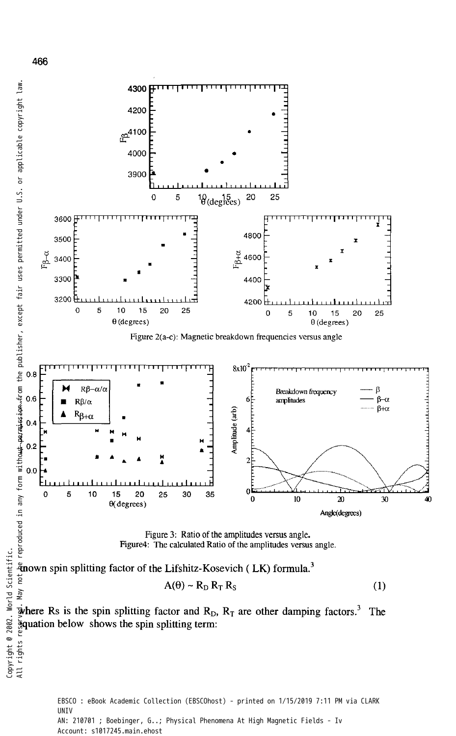

EBSCO : eBook Academic Collection (EBSCOhost) - printed on 1/15/2019 7:11 PM via CLARK UNIV AN: 210701 ; Boebinger, G..; Physical Phenomena At High Magnetic Fields - Iv Account: s1017245.main.ehost

466